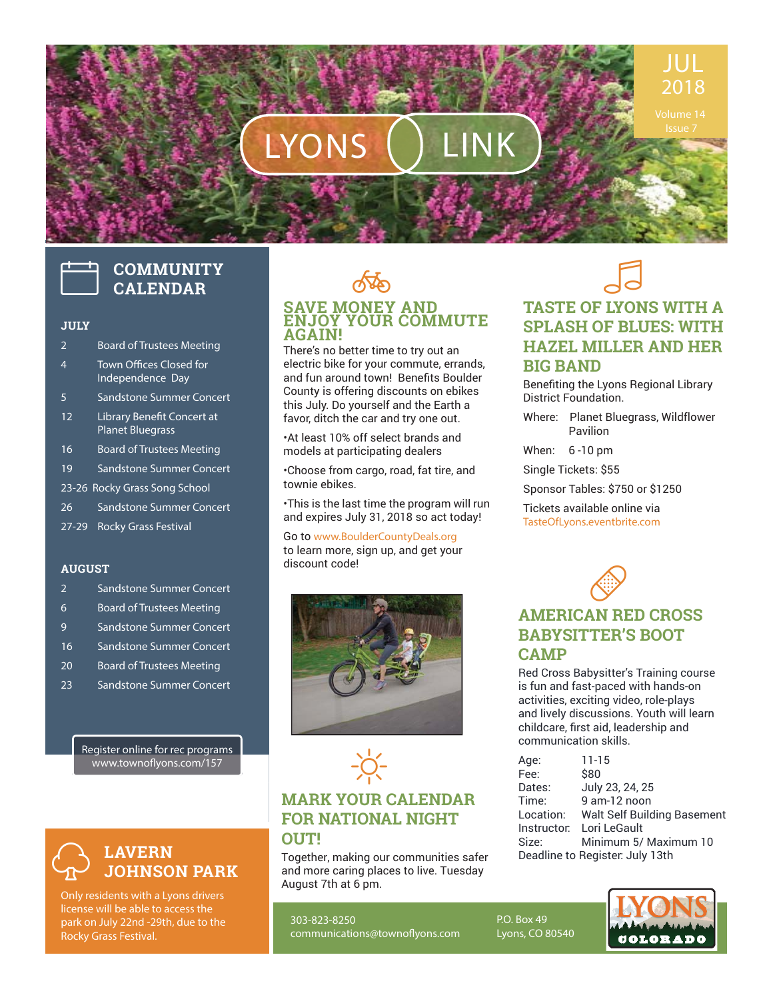

Volume 14

# LYONS | LINK

## **COMMUNITY CALENDAR**

#### **JULY**

- 2 Board of Trustees Meeting
- 4 Town Offices Closed for Independence Day
- 5 Sandstone Summer Concert
- 12 Library Benefit Concert at Planet Bluegrass
- 16 Board of Trustees Meeting
- 19 Sandstone Summer Concert
- 23-26 Rocky Grass Song School
- 26 Sandstone Summer Concert
- 27-29 Rocky Grass Festival

#### **AUGUST**

- 2 Sandstone Summer Concert
- 6 Board of Trustees Meeting
- 9 Sandstone Summer Concert
- 16 Sandstone Summer Concert
- 20 Board of Trustees Meeting
- 23 Sandstone Summer Concert

Register online for rec programs www.townoflyons.com/157



Only residents with a Lyons drivers license will be able to access the park on July 22nd -29th, due to the Rocky Grass Festival.

### **SAVE MONEY AND ENJOY YOUR COMMUTE AGAIN! Rep**

There's no better time to try out an electric bike for your commute, errands, and fun around town! Benefits Boulder County is offering discounts on ebikes this July. Do yourself and the Earth a favor, ditch the car and try one out.

•At least 10% off select brands and models at participating dealers

•Choose from cargo, road, fat tire, and townie ebikes.

•This is the last time the program will run and expires July 31, 2018 so act today!

Go to www.BoulderCountyDeals.org to learn more, sign up, and get your discount code!





#### **MARK YOUR CALENDAR FOR NATIONAL NIGHT OUT!**

Together, making our communities safer and more caring places to live. Tuesday August 7th at 6 pm.

303-823-8250 communications@townoflyons.com

### **TASTE OF LYONS WITH A SPLASH OF BLUES: WITH HAZEL MILLER AND HER BIG BAND** JJ

Benefiting the Lyons Regional Library District Foundation.

Where: Planet Bluegrass, Wildflower Pavilion

When: 6 -10 pm

Single Tickets: \$55

Sponsor Tables: \$750 or \$1250

Tickets available online via TasteOfLyons.eventbrite.com



#### **AMERICAN RED CROSS BABYSITTER'S BOOT CAMP**

Red Cross Babysitter's Training course is fun and fast-paced with hands-on activities, exciting video, role-plays and lively discussions. Youth will learn childcare, first aid, leadership and communication skills.

| Age:        | $11 - 15$                          |
|-------------|------------------------------------|
| Fee:        | \$80                               |
| Dates:      | July 23, 24, 25                    |
| Time:       | 9 am-12 noon                       |
| Location:   | <b>Walt Self Building Basement</b> |
| Instructor. | Lori LeGault                       |
| Size:       | Minimum 5/ Maximum 10              |
|             | Deadline to Register. July 13th    |

P.O. Box 49 Lyons, CO 80540

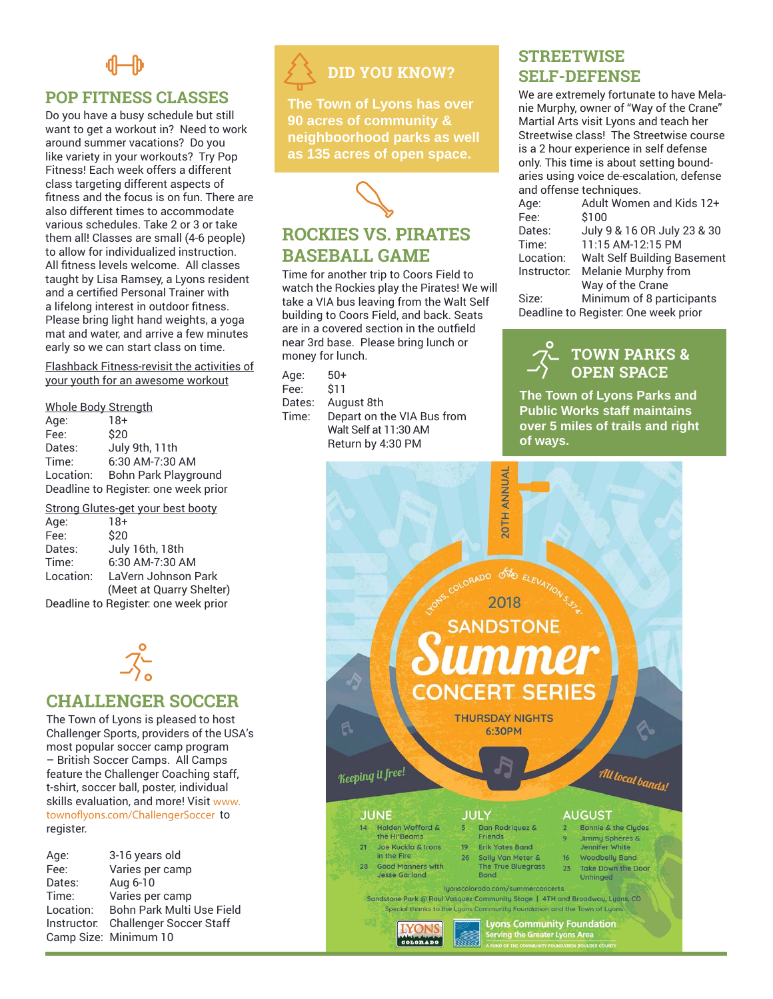### $\ddot{\phantom{a}}$ **POP FITNESS CLASSES**

Do you have a busy schedule but still want to get a workout in? Need to work around summer vacations? Do you like variety in your workouts? Try Pop Fitness! Each week offers a different class targeting different aspects of fitness and the focus is on fun. There are also different times to accommodate various schedules. Take 2 or 3 or take them all! Classes are small (4-6 people) to allow for individualized instruction. All fitness levels welcome. All classes taught by Lisa Ramsey, a Lyons resident and a certified Personal Trainer with a lifelong interest in outdoor fitness. Please bring light hand weights, a yoga mat and water, and arrive a few minutes early so we can start class on time.

Flashback Fitness-revisit the activities of your youth for an awesome workout

Whole Body Strength  $A$ ge:

| Ayc.                                     | .                    |  |
|------------------------------------------|----------------------|--|
| Fee:                                     | \$20                 |  |
| Dates:                                   | July 9th, 11th       |  |
| Time:                                    | 6:30 AM-7:30 AM      |  |
| Location:                                | Bohn Park Playground |  |
| Deadline to Register: one week prior     |                      |  |
| <b>Strong Glutes-get your best booty</b> |                      |  |

|           | <u>Strong Giutes-get vour best booty</u> |
|-----------|------------------------------------------|
| Age:      | $18+$                                    |
| Fee:      | \$20                                     |
| Dates:    | July 16th, 18th                          |
| Time:     | 6:30 AM-7:30 AM                          |
| Location: | LaVern Johnson Park                      |
|           | (Meet at Quarry Shelter)                 |
|           | Deadline to Register: one week prior     |



#### **CHALLENGER SOCCER**

The Town of Lyons is pleased to host Challenger Sports, providers of the USA's most popular soccer camp program – British Soccer Camps. All Camps feature the Challenger Coaching staff, t-shirt, soccer ball, poster, individual skills evaluation, and more! Visit www. townoflvons.com/ChallengerSoccer to register.

| Age:      | 3-16 years old                      |
|-----------|-------------------------------------|
| Fee:      | Varies per camp                     |
| Dates:    | Aug 6-10                            |
| Time:     | Varies per camp                     |
| Location: | Bohn Park Multi Use Field           |
|           | Instructor. Challenger Soccer Staff |
|           | Camp Size: Minimum 10               |



**The Town of Lyons has over 90 acres of community & neighboorhood parks as well as 135 acres of open space.**



#### **ROCKIES VS. PIRATES BASEBALL GAME**

Time for another trip to Coors Field to watch the Rockies play the Pirates! We will take a VIA bus leaving from the Walt Self building to Coors Field, and back. Seats are in a covered section in the outfield near 3rd base. Please bring lunch or money for lunch.

| Age:   | 50+            |
|--------|----------------|
| Fee:   | S11            |
| Dates: | August         |
| Time:  | Depart         |
|        | <b>Walt Se</b> |
|        | - 1            |

**Rth** on the VIA Bus from  $H$  at 11:30 AM Return by 4:30 PM

# **SELF-DEFENSE**

We are extremely fortunate to have Melanie Murphy, owner of "Way of the Crane" Martial Arts visit Lyons and teach her Streetwise class! The Streetwise course is a 2 hour experience in self defense only. This time is about setting boundaries using voice de-escalation, defense and offense techniques.

| Age:        | Adult Women and Kids 12+             |
|-------------|--------------------------------------|
| Fee:        | \$100                                |
| Dates:      | July 9 & 16 OR July 23 & 30          |
| Time:       | 11:15 AM-12:15 PM                    |
| Location:   | <b>Walt Self Building Basement</b>   |
| Instructor. | Melanie Murphy from                  |
|             | Way of the Crane                     |
| Size:       | Minimum of 8 participants            |
|             | Deadline to Register. One week prior |
|             |                                      |

#### **TOWN PARKS & OPEN SPACE**  $\mathcal{J}^{\text{c}}$

**The Town of Lyons Parks and Public Works staff maintains over 5 miles of trails and right of ways.**

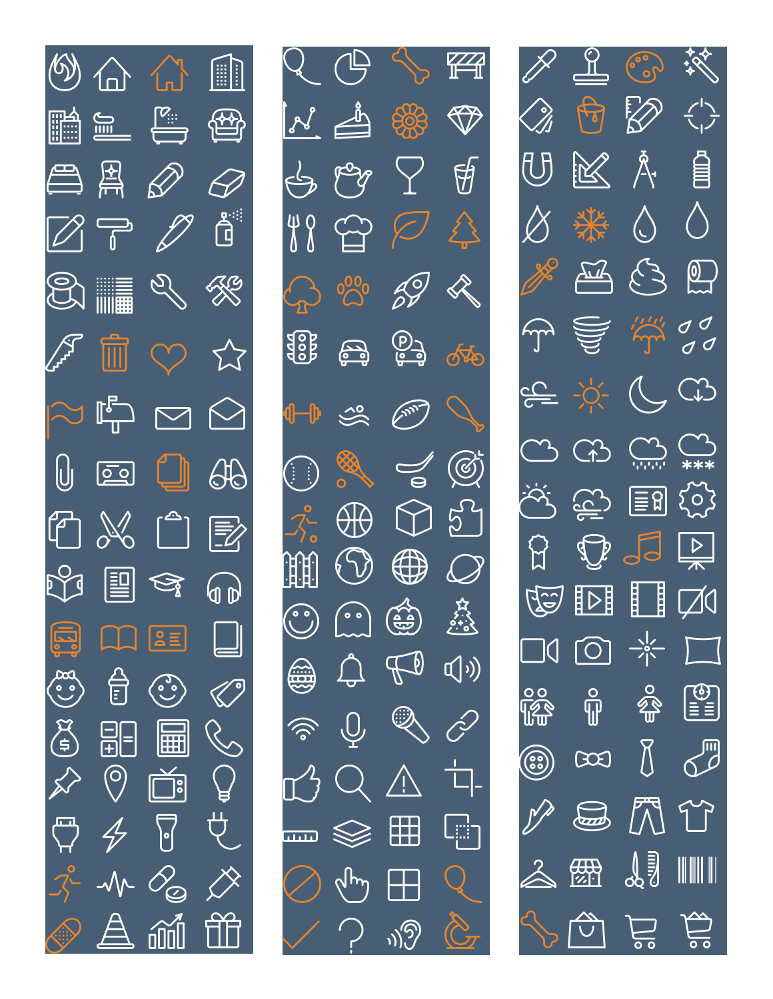

昭  $\bigoplus$  $\triangle$ 88  $\bigoplus$ Fog  $\blacktriangledown$  $\varphi$  $\bigg\{ \bigg\}$  $\bigoplus$  $\mathcal{S}$  $^{000}_{000}$  $\mathcal{R}$ **1995**  $\bigoplus_{\mathbf{p}}$ S क्र (2017)  $\frac{1}{\sqrt{2}}$ Պ—ֆ  $\bigcirc$  $\overline{\mathcal{C}}$  $5^2$  $\bigoplus$  $\bigcirc$  $(5)$ (1) 泊<br>[旧]  $\bigcirc$  $x_{i}^{2}$  $\left(\begin{matrix} \overbrace{1} & \overbrace{1} & \overbrace{1} & \overbrace{1} & \overbrace{1} & \overbrace{1} & \overbrace{1} & \overbrace{1} & \overbrace{1} & \overbrace{1} & \overbrace{1} & \overbrace{1} & \overbrace{1} & \overbrace{1} & \overbrace{1} & \overbrace{1} & \overbrace{1} & \overbrace{1} & \overbrace{1} & \overbrace{1} & \overbrace{1} & \overbrace{1} & \overbrace{1} & \overbrace{1} & \overbrace{1} & \overbrace{1} & \overbrace{1} & \overbrace{1} & \overbrace{1} & \overbrace{1} & \overbrace$  $\odot$  $\begin{pmatrix} \circ \\ \circ \end{pmatrix}$  $D F$  $\left(\!\!\left\langle \cdot \right\rangle\!\!\right)$ e) R  $\mathcal{C}$  $\overline{\mathbb{Q}}$  $\widehat{\mathcal{C}}$ A Ō., E 囲  $\sqrt{h\gamma}$ 22<br>1  $\sqrt{2}$